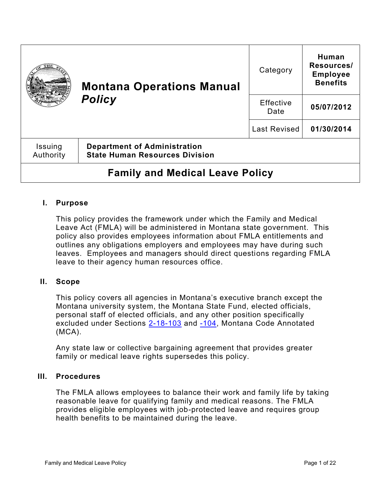|                                        | <b>Montana Operations Manual</b><br><b>Policy</b>                            | Category          | <b>Human</b><br>Resources/<br><b>Employee</b><br><b>Benefits</b> |
|----------------------------------------|------------------------------------------------------------------------------|-------------------|------------------------------------------------------------------|
|                                        |                                                                              | Effective<br>Date | 05/07/2012                                                       |
|                                        |                                                                              | Last Revised      | 01/30/2014                                                       |
| Issuing<br>Authority                   | <b>Department of Administration</b><br><b>State Human Resources Division</b> |                   |                                                                  |
| <b>Family and Medical Leave Policy</b> |                                                                              |                   |                                                                  |

# **I. Purpose**

This policy provides the framework under which the Family and Medical Leave Act (FMLA) will be administered in Montana state government. This policy also provides employees information about FMLA entitlements and outlines any obligations employers and employees may have during such leaves. Employees and managers should direct questions regarding FMLA leave to their agency human resources office.

## **II. Scope**

This policy covers all agencies in Montana's executive branch except the Montana university system, the Montana State Fund, elected officials, personal staff of elected officials, and any other position specifically excluded under Sections [2-18-103](https://leg.mt.gov/bills/mca/title_0020/chapter_0180/part_0010/section_0030/0020-0180-0010-0030.html) and [-104,](https://leg.mt.gov/bills/mca/title_0020/chapter_0180/part_0010/section_0040/0020-0180-0010-0040.html) Montana Code Annotated (MCA).

Any state law or collective bargaining agreement that provides greater family or medical leave rights supersedes this policy.

## **III. Procedures**

The FMLA allows employees to balance their work and family life by taking reasonable leave for qualifying family and medical reasons. The FMLA provides eligible employees with job-protected leave and requires group health benefits to be maintained during the leave.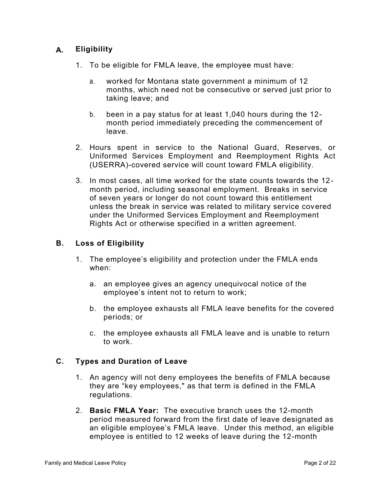# **A. Eligibility**

- 1. To be eligible for FMLA leave, the employee must have:
	- a. worked for Montana state government a minimum of 12 months, which need not be consecutive or served just prior to taking leave; and
	- b. been in a pay status for at least 1,040 hours during the 12 month period immediately preceding the commencement of leave.
- 2. Hours spent in service to the National Guard, Reserves, or Uniformed Services Employment and Reemployment Rights Act (USERRA)-covered service will count toward FMLA eligibility.
- 3. In most cases, all time worked for the state counts towards the 12 month period, including seasonal employment. Breaks in service of seven years or longer do not count toward this entitlement unless the break in service was related to military service covered under the Uniformed Services Employment and Reemployment Rights Act or otherwise specified in a written agreement.

# **B. Loss of Eligibility**

- 1. The employee's eligibility and protection under the FMLA ends when:
	- a. an employee gives an agency unequivocal notice of the employee's intent not to return to work;
	- b. the employee exhausts all FMLA leave benefits for the covered periods; or
	- c. the employee exhausts all FMLA leave and is unable to return to work.

## **C. Types and Duration of Leave**

- 1. An agency will not deny employees the benefits of FMLA because they are "key employees," as that term is defined in the FMLA regulations.
- 2. **Basic FMLA Year:** The executive branch uses the 12-month period measured forward from the first date of leave designated as an eligible employee's FMLA leave. Under this method, an eligible employee is entitled to 12 weeks of leave during the 12-month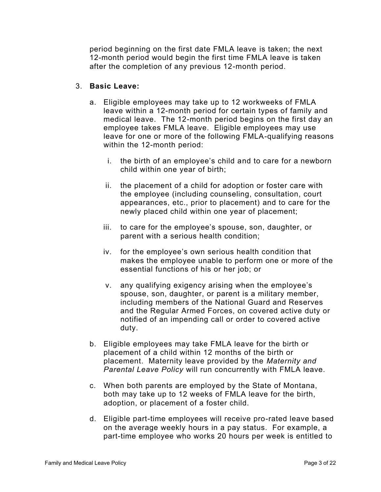period beginning on the first date FMLA leave is taken; the next 12-month period would begin the first time FMLA leave is taken after the completion of any previous 12-month period.

#### 3. **Basic Leave:**

- a. Eligible employees may take up to 12 workweeks of FMLA leave within a 12-month period for certain types of family and medical leave. The 12-month period begins on the first day an employee takes FMLA leave. Eligible employees may use leave for one or more of the following FMLA-qualifying reasons within the 12-month period:
	- i. the birth of an employee's child and to care for a newborn child within one year of birth;
	- ii. the placement of a child for adoption or foster care with the employee (including counseling, consultation, court appearances, etc., prior to placement) and to care for the newly placed child within one year of placement;
	- iii. to care for the employee's spouse, son, daughter, or parent with a serious health condition;
	- iv. for the employee's own serious health condition that makes the employee unable to perform one or more of the essential functions of his or her job; or
	- v. any qualifying exigency arising when the employee's spouse, son, daughter, or parent is a military member, including members of the National Guard and Reserves and the Regular Armed Forces, on covered active duty or notified of an impending call or order to covered active duty.
- b. Eligible employees may take FMLA leave for the birth or placement of a child within 12 months of the birth or placement. Maternity leave provided by the *Maternity and Parental Leave Policy* will run concurrently with FMLA leave.
- c. When both parents are employed by the State of Montana, both may take up to 12 weeks of FMLA leave for the birth, adoption, or placement of a foster child.
- d. Eligible part-time employees will receive pro-rated leave based on the average weekly hours in a pay status. For example, a part-time employee who works 20 hours per week is entitled to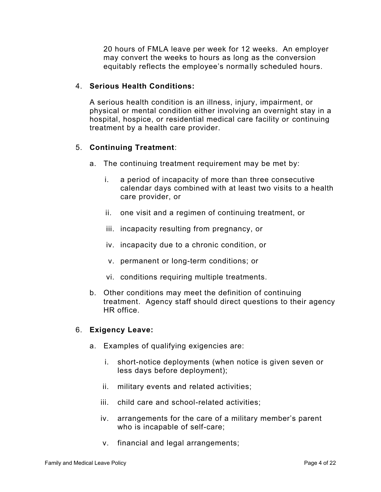20 hours of FMLA leave per week for 12 weeks. An employer may convert the weeks to hours as long as the conversion equitably reflects the employee's normally scheduled hours.

## 4. **Serious Health Conditions:**

A serious health condition is an illness, injury, impairment, or physical or mental condition either involving an overnight stay in a hospital, hospice, or residential medical care facility or continuing treatment by a health care provider.

# 5. **Continuing Treatment**:

- a. The continuing treatment requirement may be met by:
	- i. a period of incapacity of more than three consecutive calendar days combined with at least two visits to a health care provider, or
	- ii. one visit and a regimen of continuing treatment, or
	- iii. incapacity resulting from pregnancy, or
	- iv. incapacity due to a chronic condition, or
	- v. permanent or long-term conditions; or
	- vi. conditions requiring multiple treatments.
- b. Other conditions may meet the definition of continuing treatment. Agency staff should direct questions to their agency HR office.

#### 6. **Exigency Leave:**

- a. Examples of qualifying exigencies are:
	- i. short-notice deployments (when notice is given seven or less days before deployment);
	- ii. military events and related activities;
	- iii. child care and school-related activities;
	- iv. arrangements for the care of a military member's parent who is incapable of self-care;
	- v. financial and legal arrangements;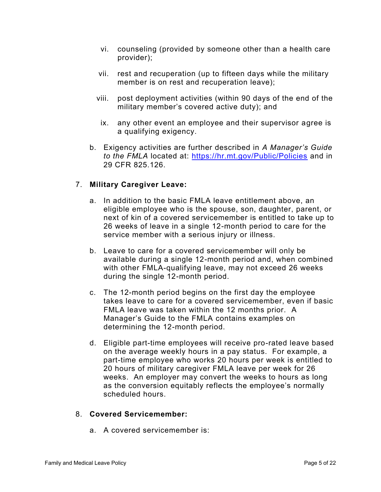- vi. counseling (provided by someone other than a health care provider);
- vii. rest and recuperation (up to fifteen days while the military member is on rest and recuperation leave);
- viii. post deployment activities (within 90 days of the end of the military member's covered active duty); and
- ix. any other event an employee and their supervisor agree is a qualifying exigency.
- b. Exigency activities are further described in *A Manager's Guide to the FMLA* located at: <https://hr.mt.gov/Public/Policies> and in 29 CFR 825.126.

# 7. **Military Caregiver Leave:**

- a. In addition to the basic FMLA leave entitlement above, an eligible employee who is the spouse, son, daughter, parent, or next of kin of a covered servicemember is entitled to take up to 26 weeks of leave in a single 12-month period to care for the service member with a serious injury or illness.
- b. Leave to care for a covered servicemember will only be available during a single 12-month period and, when combined with other FMLA-qualifying leave, may not exceed 26 weeks during the single 12-month period.
- c. The 12-month period begins on the first day the employee takes leave to care for a covered servicemember, even if basic FMLA leave was taken within the 12 months prior. A Manager's Guide to the FMLA contains examples on determining the 12-month period.
- d. Eligible part-time employees will receive pro-rated leave based on the average weekly hours in a pay status. For example, a part-time employee who works 20 hours per week is entitled to 20 hours of military caregiver FMLA leave per week for 26 weeks. An employer may convert the weeks to hours as long as the conversion equitably reflects the employee's normally scheduled hours.

#### 8. **Covered Servicemember:**

a. A covered servicemember is: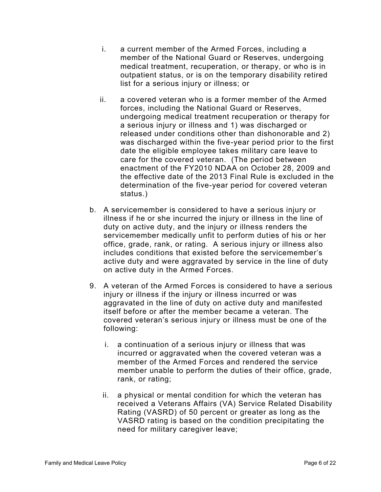- i. a current member of the Armed Forces, including a member of the National Guard or Reserves, undergoing medical treatment, recuperation, or therapy, or who is in outpatient status, or is on the temporary disability retired list for a serious injury or illness; or
- ii. a covered veteran who is a former member of the Armed forces, including the National Guard or Reserves, undergoing medical treatment recuperation or therapy for a serious injury or illness and 1) was discharged or released under conditions other than dishonorable and 2) was discharged within the five-year period prior to the first date the eligible employee takes military care leave to care for the covered veteran. (The period between enactment of the FY2010 NDAA on October 28, 2009 and the effective date of the 2013 Final Rule is excluded in the determination of the five-year period for covered veteran status.)
- b. A servicemember is considered to have a serious injury or illness if he or she incurred the injury or illness in the line of duty on active duty, and the injury or illness renders the servicemember medically unfit to perform duties of his or her office, grade, rank, or rating. A serious injury or illness also includes conditions that existed before the servicemember's active duty and were aggravated by service in the line of duty on active duty in the Armed Forces.
- 9. A veteran of the Armed Forces is considered to have a serious injury or illness if the injury or illness incurred or was aggravated in the line of duty on active duty and manifested itself before or after the member became a veteran. The covered veteran's serious injury or illness must be one of the following:
	- i. a continuation of a serious injury or illness that was incurred or aggravated when the covered veteran was a member of the Armed Forces and rendered the service member unable to perform the duties of their office, grade, rank, or rating;
	- ii. a physical or mental condition for which the veteran has received a Veterans Affairs (VA) Service Related Disability Rating (VASRD) of 50 percent or greater as long as the VASRD rating is based on the condition precipitating the need for military caregiver leave;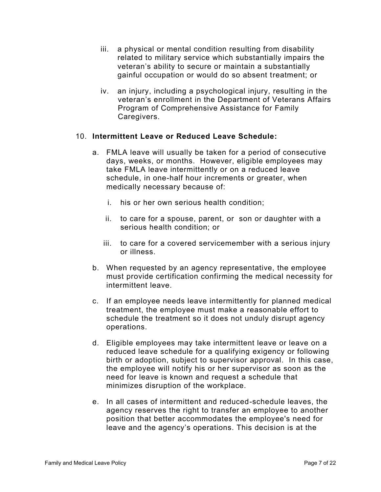- iii. a physical or mental condition resulting from disability related to military service which substantially impairs the veteran's ability to secure or maintain a substantially gainful occupation or would do so absent treatment; or
- iv. an injury, including a psychological injury, resulting in the veteran's enrollment in the Department of Veterans Affairs Program of Comprehensive Assistance for Family Caregivers.

#### 10. **Intermittent Leave or Reduced Leave Schedule:**

- a. FMLA leave will usually be taken for a period of consecutive days, weeks, or months. However, eligible employees may take FMLA leave intermittently or on a reduced leave schedule, in one-half hour increments or greater, when medically necessary because of:
	- i. his or her own serious health condition;
	- ii. to care for a spouse, parent, or son or daughter with a serious health condition; or
	- iii. to care for a covered servicemember with a serious injury or illness.
- b. When requested by an agency representative, the employee must provide certification confirming the medical necessity for intermittent leave.
- c. If an employee needs leave intermittently for planned medical treatment, the employee must make a reasonable effort to schedule the treatment so it does not unduly disrupt agency operations.
- d. Eligible employees may take intermittent leave or leave on a reduced leave schedule for a qualifying exigency or following birth or adoption, subject to supervisor approval. In this case, the employee will notify his or her supervisor as soon as the need for leave is known and request a schedule that minimizes disruption of the workplace.
- e. In all cases of intermittent and reduced-schedule leaves, the agency reserves the right to transfer an employee to another position that better accommodates the employee's need for leave and the agency's operations. This decision is at the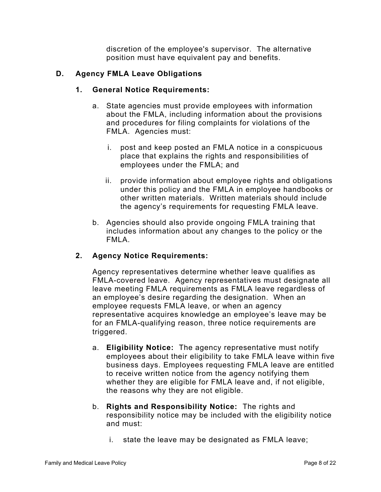discretion of the employee's supervisor. The alternative position must have equivalent pay and benefits.

# **D. Agency FMLA Leave Obligations**

## **1. General Notice Requirements:**

- a. State agencies must provide employees with information about the FMLA, including information about the provisions and procedures for filing complaints for violations of the FMLA. Agencies must:
	- i. post and keep posted an FMLA notice in a conspicuous place that explains the rights and responsibilities of employees under the FMLA; and
	- ii. provide information about employee rights and obligations under this policy and the FMLA in employee handbooks or other written materials. Written materials should include the agency's requirements for requesting FMLA leave.
- b. Agencies should also provide ongoing FMLA training that includes information about any changes to the policy or the FMLA.

# **2. Agency Notice Requirements:**

Agency representatives determine whether leave qualifies as FMLA-covered leave. Agency representatives must designate all leave meeting FMLA requirements as FMLA leave regardless of an employee's desire regarding the designation. When an employee requests FMLA leave, or when an agency representative acquires knowledge an employee's leave may be for an FMLA-qualifying reason, three notice requirements are triggered.

- a. **Eligibility Notice:** The agency representative must notify employees about their eligibility to take FMLA leave within five business days. Employees requesting FMLA leave are entitled to receive written notice from the agency notifying them whether they are eligible for FMLA leave and, if not eligible, the reasons why they are not eligible.
- b. **Rights and Responsibility Notice:** The rights and responsibility notice may be included with the eligibility notice and must:
	- i. state the leave may be designated as FMLA leave;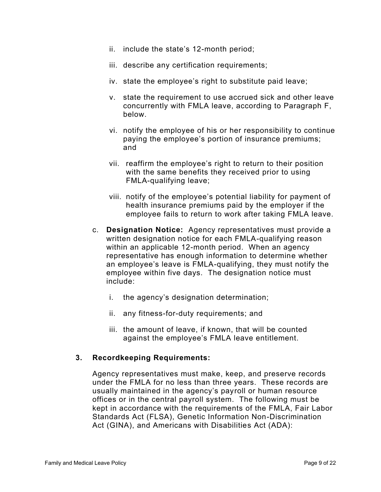- ii. include the state's 12-month period;
- iii. describe any certification requirements;
- iv. state the employee's right to substitute paid leave;
- v. state the requirement to use accrued sick and other leave concurrently with FMLA leave, according to Paragraph F, below.
- vi. notify the employee of his or her responsibility to continue paying the employee's portion of insurance premiums; and
- vii. reaffirm the employee's right to return to their position with the same benefits they received prior to using FMLA-qualifying leave;
- viii. notify of the employee's potential liability for payment of health insurance premiums paid by the employer if the employee fails to return to work after taking FMLA leave.
- c. **Designation Notice:** Agency representatives must provide a written designation notice for each FMLA-qualifying reason within an applicable 12-month period. When an agency representative has enough information to determine whether an employee's leave is FMLA-qualifying, they must notify the employee within five days. The designation notice must include:
	- i. the agency's designation determination;
	- ii. any fitness-for-duty requirements; and
	- iii. the amount of leave, if known, that will be counted against the employee's FMLA leave entitlement.

## **3. Recordkeeping Requirements:**

Agency representatives must make, keep, and preserve records under the FMLA for no less than three years. These records are usually maintained in the agency's payroll or human resource offices or in the central payroll system. The following must be kept in accordance with the requirements of the FMLA, Fair Labor Standards Act (FLSA), Genetic Information Non-Discrimination Act (GINA), and Americans with Disabilities Act (ADA):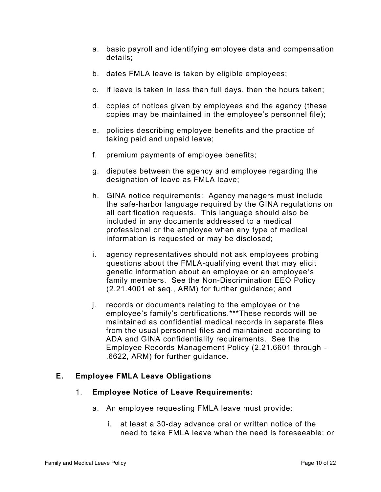- a. basic payroll and identifying employee data and compensation details;
- b. dates FMLA leave is taken by eligible employees;
- c. if leave is taken in less than full days, then the hours taken;
- d. copies of notices given by employees and the agency (these copies may be maintained in the employee's personnel file);
- e. policies describing employee benefits and the practice of taking paid and unpaid leave;
- f. premium payments of employee benefits;
- g. disputes between the agency and employee regarding the designation of leave as FMLA leave;
- h. GINA notice requirements: Agency managers must include the safe-harbor language required by the GINA regulations on all certification requests. This language should also be included in any documents addressed to a medical professional or the employee when any type of medical information is requested or may be disclosed;
- i. agency representatives should not ask employees probing questions about the FMLA-qualifying event that may elicit genetic information about an employee or an employee's family members. See the Non-Discrimination EEO Policy (2.21.4001 et seq., ARM) for further guidance; and
- j. records or documents relating to the employee or the employee's family's certifications.\*\*\*These records will be maintained as confidential medical records in separate files from the usual personnel files and maintained according to ADA and GINA confidentiality requirements. See the Employee Records Management Policy (2.21.6601 through - .6622, ARM) for further guidance.

# **E. Employee FMLA Leave Obligations**

## 1. **Employee Notice of Leave Requirements:**

- a. An employee requesting FMLA leave must provide:
	- i. at least a 30-day advance oral or written notice of the need to take FMLA leave when the need is foreseeable; or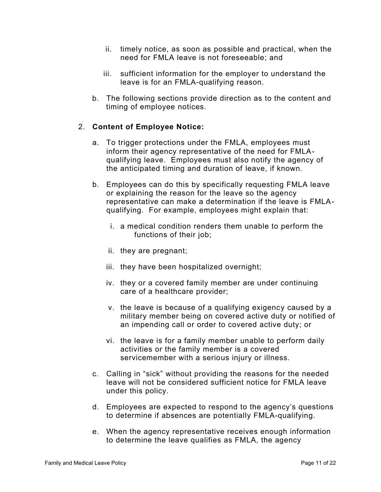- ii. timely notice, as soon as possible and practical, when the need for FMLA leave is not foreseeable; and
- iii. sufficient information for the employer to understand the leave is for an FMLA-qualifying reason.
- b. The following sections provide direction as to the content and timing of employee notices.

# 2. **Content of Employee Notice:**

- a. To trigger protections under the FMLA, employees must inform their agency representative of the need for FMLAqualifying leave. Employees must also notify the agency of the anticipated timing and duration of leave, if known.
- b. Employees can do this by specifically requesting FMLA leave or explaining the reason for the leave so the agency representative can make a determination if the leave is FMLAqualifying. For example, employees might explain that:
	- i. a medical condition renders them unable to perform the functions of their job;
	- ii. they are pregnant;
	- iii. they have been hospitalized overnight;
	- iv. they or a covered family member are under continuing care of a healthcare provider;
	- v. the leave is because of a qualifying exigency caused by a military member being on covered active duty or notified of an impending call or order to covered active duty; or
	- vi. the leave is for a family member unable to perform daily activities or the family member is a covered servicemember with a serious injury or illness.
- c. Calling in "sick" without providing the reasons for the needed leave will not be considered sufficient notice for FMLA leave under this policy.
- d. Employees are expected to respond to the agency's questions to determine if absences are potentially FMLA-qualifying.
- e. When the agency representative receives enough information to determine the leave qualifies as FMLA, the agency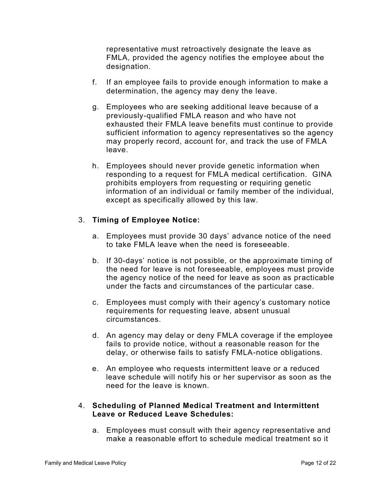representative must retroactively designate the leave as FMLA, provided the agency notifies the employee about the designation.

- f. If an employee fails to provide enough information to make a determination, the agency may deny the leave.
- g. Employees who are seeking additional leave because of a previously-qualified FMLA reason and who have not exhausted their FMLA leave benefits must continue to provide sufficient information to agency representatives so the agency may properly record, account for, and track the use of FMLA leave.
- h. Employees should never provide genetic information when responding to a request for FMLA medical certification. GINA prohibits employers from requesting or requiring genetic information of an individual or family member of the individual, except as specifically allowed by this law.

# 3. **Timing of Employee Notice:**

- a. Employees must provide 30 days' advance notice of the need to take FMLA leave when the need is foreseeable.
- b. If 30-days' notice is not possible, or the approximate timing of the need for leave is not foreseeable, employees must provide the agency notice of the need for leave as soon as practicable under the facts and circumstances of the particular case.
- c. Employees must comply with their agency's customary notice requirements for requesting leave, absent unusual circumstances.
- d. An agency may delay or deny FMLA coverage if the employee fails to provide notice, without a reasonable reason for the delay, or otherwise fails to satisfy FMLA-notice obligations.
- e. An employee who requests intermittent leave or a reduced leave schedule will notify his or her supervisor as soon as the need for the leave is known.

## 4. **Scheduling of Planned Medical Treatment and Intermittent Leave or Reduced Leave Schedules:**

a. Employees must consult with their agency representative and make a reasonable effort to schedule medical treatment so it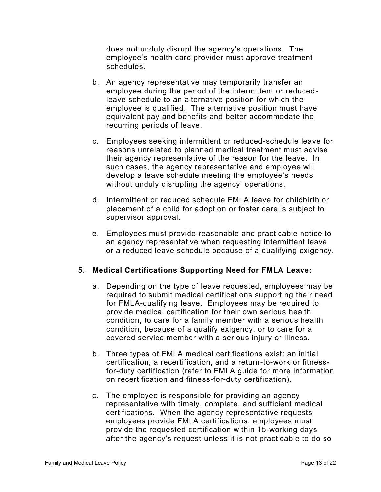does not unduly disrupt the agency's operations. The employee's health care provider must approve treatment schedules.

- b. An agency representative may temporarily transfer an employee during the period of the intermittent or reducedleave schedule to an alternative position for which the employee is qualified. The alternative position must have equivalent pay and benefits and better accommodate the recurring periods of leave.
- c. Employees seeking intermittent or reduced-schedule leave for reasons unrelated to planned medical treatment must advise their agency representative of the reason for the leave. In such cases, the agency representative and employee will develop a leave schedule meeting the employee's needs without unduly disrupting the agency' operations.
- d. Intermittent or reduced schedule FMLA leave for childbirth or placement of a child for adoption or foster care is subject to supervisor approval.
- e. Employees must provide reasonable and practicable notice to an agency representative when requesting intermittent leave or a reduced leave schedule because of a qualifying exigency.

# 5. **Medical Certifications Supporting Need for FMLA Leave:**

- a. Depending on the type of leave requested, employees may be required to submit medical certifications supporting their need for FMLA-qualifying leave. Employees may be required to provide medical certification for their own serious health condition, to care for a family member with a serious health condition, because of a qualify exigency, or to care for a covered service member with a serious injury or illness.
- b. Three types of FMLA medical certifications exist: an initial certification, a recertification, and a return-to-work or fitnessfor-duty certification (refer to FMLA guide for more information on recertification and fitness-for-duty certification).
- c. The employee is responsible for providing an agency representative with timely, complete, and sufficient medical certifications. When the agency representative requests employees provide FMLA certifications, employees must provide the requested certification within 15-working days after the agency's request unless it is not practicable to do so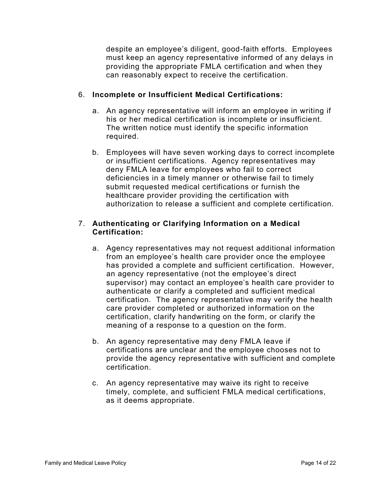despite an employee's diligent, good-faith efforts. Employees must keep an agency representative informed of any delays in providing the appropriate FMLA certification and when they can reasonably expect to receive the certification.

# 6. **Incomplete or Insufficient Medical Certifications:**

- a. An agency representative will inform an employee in writing if his or her medical certification is incomplete or insufficient. The written notice must identify the specific information required.
- b. Employees will have seven working days to correct incomplete or insufficient certifications. Agency representatives may deny FMLA leave for employees who fail to correct deficiencies in a timely manner or otherwise fail to timely submit requested medical certifications or furnish the healthcare provider providing the certification with authorization to release a sufficient and complete certification.

# 7. **Authenticating or Clarifying Information on a Medical Certification:**

- a. Agency representatives may not request additional information from an employee's health care provider once the employee has provided a complete and sufficient certification. However, an agency representative (not the employee's direct supervisor) may contact an employee's health care provider to authenticate or clarify a completed and sufficient medical certification. The agency representative may verify the health care provider completed or authorized information on the certification, clarify handwriting on the form, or clarify the meaning of a response to a question on the form.
- b. An agency representative may deny FMLA leave if certifications are unclear and the employee chooses not to provide the agency representative with sufficient and complete certification.
- c. An agency representative may waive its right to receive timely, complete, and sufficient FMLA medical certifications, as it deems appropriate.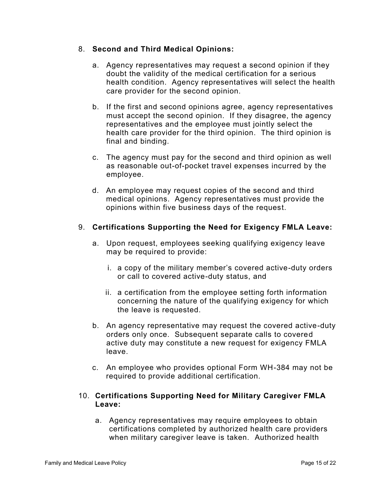## 8. **Second and Third Medical Opinions:**

- a. Agency representatives may request a second opinion if they doubt the validity of the medical certification for a serious health condition. Agency representatives will select the health care provider for the second opinion.
- b. If the first and second opinions agree, agency representatives must accept the second opinion. If they disagree, the agency representatives and the employee must jointly select the health care provider for the third opinion. The third opinion is final and binding.
- c. The agency must pay for the second and third opinion as well as reasonable out-of-pocket travel expenses incurred by the employee.
- d. An employee may request copies of the second and third medical opinions. Agency representatives must provide the opinions within five business days of the request.

# 9. **Certifications Supporting the Need for Exigency FMLA Leave:**

- a. Upon request, employees seeking qualifying exigency leave may be required to provide:
	- i. a copy of the military member's covered active-duty orders or call to covered active-duty status, and
	- ii. a certification from the employee setting forth information concerning the nature of the qualifying exigency for which the leave is requested.
- b. An agency representative may request the covered active-duty orders only once. Subsequent separate calls to covered active duty may constitute a new request for exigency FMLA leave.
- c. An employee who provides optional Form WH-384 may not be required to provide additional certification.

## 10. **Certifications Supporting Need for Military Caregiver FMLA Leave:**

a. Agency representatives may require employees to obtain certifications completed by authorized health care providers when military caregiver leave is taken. Authorized health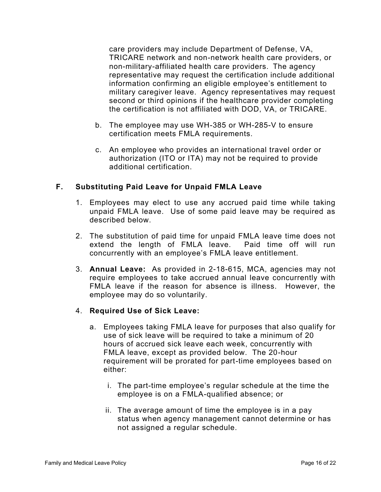care providers may include Department of Defense, VA, TRICARE network and non-network health care providers, or non-military-affiliated health care providers. The agency representative may request the certification include additional information confirming an eligible employee's entitlement to military caregiver leave. Agency representatives may request second or third opinions if the healthcare provider completing the certification is not affiliated with DOD, VA, or TRICARE.

- b. The employee may use WH-385 or WH-285-V to ensure certification meets FMLA requirements.
- c. An employee who provides an international travel order or authorization (ITO or ITA) may not be required to provide additional certification.

# **F. Substituting Paid Leave for Unpaid FMLA Leave**

- 1. Employees may elect to use any accrued paid time while taking unpaid FMLA leave. Use of some paid leave may be required as described below.
- 2. The substitution of paid time for unpaid FMLA leave time does not extend the length of FMLA leave. Paid time off will run concurrently with an employee's FMLA leave entitlement.
- 3. **Annual Leave:** As provided in 2-18-615, MCA, agencies may not require employees to take accrued annual leave concurrently with FMLA leave if the reason for absence is illness. However, the employee may do so voluntarily.

# 4. **Required Use of Sick Leave:**

- a. Employees taking FMLA leave for purposes that also qualify for use of sick leave will be required to take a minimum of 20 hours of accrued sick leave each week, concurrently with FMLA leave, except as provided below. The 20-hour requirement will be prorated for part-time employees based on either:
	- i. The part-time employee's regular schedule at the time the employee is on a FMLA-qualified absence; or
	- ii. The average amount of time the employee is in a pay status when agency management cannot determine or has not assigned a regular schedule.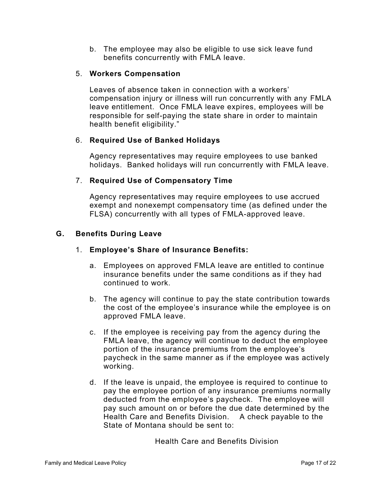b. The employee may also be eligible to use sick leave fund benefits concurrently with FMLA leave.

## 5. **Workers Compensation**

Leaves of absence taken in connection with a workers' compensation injury or illness will run concurrently with any FMLA leave entitlement. Once FMLA leave expires, employees will be responsible for self-paying the state share in order to maintain health benefit eligibility."

# 6. **Required Use of Banked Holidays**

Agency representatives may require employees to use banked holidays. Banked holidays will run concurrently with FMLA leave.

# 7. **Required Use of Compensatory Time**

Agency representatives may require employees to use accrued exempt and nonexempt compensatory time (as defined under the FLSA) concurrently with all types of FMLA-approved leave.

# **G. Benefits During Leave**

## 1. **Employee's Share of Insurance Benefits:**

- a. Employees on approved FMLA leave are entitled to continue insurance benefits under the same conditions as if they had continued to work.
- b. The agency will continue to pay the state contribution towards the cost of the employee's insurance while the employee is on approved FMLA leave.
- c. If the employee is receiving pay from the agency during the FMLA leave, the agency will continue to deduct the employee portion of the insurance premiums from the employee's paycheck in the same manner as if the employee was actively working.
- d. If the leave is unpaid, the employee is required to continue to pay the employee portion of any insurance premiums normally deducted from the employee's paycheck. The employee will pay such amount on or before the due date determined by the Health Care and Benefits Division. A check payable to the State of Montana should be sent to:

Health Care and Benefits Division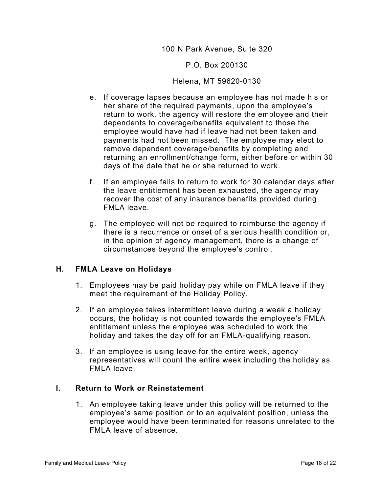#### 100 N Park Avenue, Suite 320

#### P.O. Box 200130

#### Helena, MT 59620-0130

- e. If coverage lapses because an employee has not made his or her share of the required payments, upon the employee's return to work, the agency will restore the employee and their dependents to coverage/benefits equivalent to those the employee would have had if leave had not been taken and payments had not been missed. The employee may elect to remove dependent coverage/benefits by completing and returning an enrollment/change form, either before or within 30 days of the date that he or she returned to work.
- f. If an employee fails to return to work for 30 calendar days after the leave entitlement has been exhausted, the agency may recover the cost of any insurance benefits provided during FMLA leave.
- g. The employee will not be required to reimburse the agency if there is a recurrence or onset of a serious health condition or, in the opinion of agency management, there is a change of circumstances beyond the employee's control.

## **H. FMLA Leave on Holidays**

- 1. Employees may be paid holiday pay while on FMLA leave if they meet the requirement of the Holiday Policy.
- 2. If an employee takes intermittent leave during a week a holiday occurs, the holiday is not counted towards the employee's FMLA entitlement unless the employee was scheduled to work the holiday and takes the day off for an FMLA-qualifying reason.
- 3. If an employee is using leave for the entire week, agency representatives will count the entire week including the holiday as FMLA leave.

## **I. Return to Work or Reinstatement**

1. An employee taking leave under this policy will be returned to the employee's same position or to an equivalent position, unless the employee would have been terminated for reasons unrelated to the FMLA leave of absence.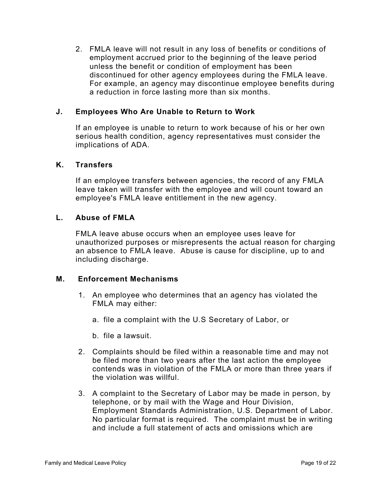2. FMLA leave will not result in any loss of benefits or conditions of employment accrued prior to the beginning of the leave period unless the benefit or condition of employment has been discontinued for other agency employees during the FMLA leave. For example, an agency may discontinue employee benefits during a reduction in force lasting more than six months.

## **J. Employees Who Are Unable to Return to Work**

If an employee is unable to return to work because of his or her own serious health condition, agency representatives must consider the implications of ADA.

## **K. Transfers**

If an employee transfers between agencies, the record of any FMLA leave taken will transfer with the employee and will count toward an employee's FMLA leave entitlement in the new agency.

## **L. Abuse of FMLA**

FMLA leave abuse occurs when an employee uses leave for unauthorized purposes or misrepresents the actual reason for charging an absence to FMLA leave. Abuse is cause for discipline, up to and including discharge.

## **M. Enforcement Mechanisms**

- 1. An employee who determines that an agency has violated the FMLA may either:
	- a. file a complaint with the U.S Secretary of Labor, or
	- b. file a lawsuit.
- 2. Complaints should be filed within a reasonable time and may not be filed more than two years after the last action the employee contends was in violation of the FMLA or more than three years if the violation was willful.
- 3. A complaint to the Secretary of Labor may be made in person, by telephone, or by mail with the Wage and Hour Division, Employment Standards Administration, U.S. Department of Labor. No particular format is required. The complaint must be in writing and include a full statement of acts and omissions which are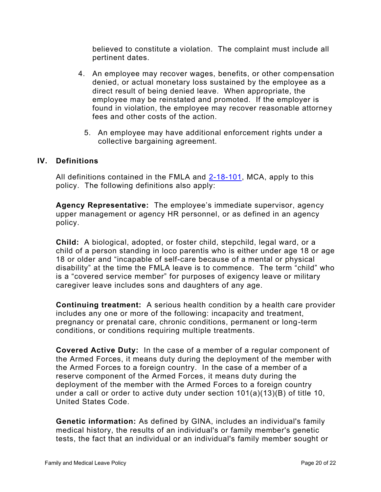believed to constitute a violation. The complaint must include all pertinent dates.

- 4. An employee may recover wages, benefits, or other compensation denied, or actual monetary loss sustained by the employee as a direct result of being denied leave. When appropriate, the employee may be reinstated and promoted. If the employer is found in violation, the employee may recover reasonable attorney fees and other costs of the action.
	- 5. An employee may have additional enforcement rights under a collective bargaining agreement.

# **IV. Definitions**

All definitions contained in the FMLA and [2-18-101,](https://leg.mt.gov/bills/mca/title_0020/chapter_0180/part_0010/section_0010/0020-0180-0010-0010.html) MCA, apply to this policy. The following definitions also apply:

**Agency Representative:** The employee's immediate supervisor, agency upper management or agency HR personnel, or as defined in an agency policy.

**Child:** A biological, adopted, or foster child, stepchild, legal ward, or a child of a person standing in loco parentis who is either under age 18 or age 18 or older and "incapable of self-care because of a mental or physical disability" at the time the FMLA leave is to commence. The term "child" who is a "covered service member" for purposes of exigency leave or military caregiver leave includes sons and daughters of any age.

**Continuing treatment:** A serious health condition by a health care provider includes any one or more of the following: incapacity and treatment, pregnancy or prenatal care, chronic conditions, permanent or long-term conditions, or conditions requiring multiple treatments.

**Covered Active Duty:** In the case of a member of a regular component of the Armed Forces, it means duty during the deployment of the member with the Armed Forces to a foreign country. In the case of a member of a reserve component of the Armed Forces, it means duty during the deployment of the member with the Armed Forces to a foreign country under a call or order to active duty under section 101(a)(13)(B) of title 10, United States Code.

**Genetic information:** As defined by GINA, includes an individual's family medical history, the results of an individual's or family member's genetic tests, the fact that an individual or an individual's family member sought or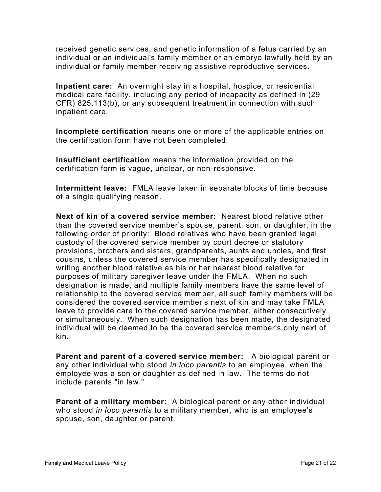received genetic services, and genetic information of a fetus carried by an individual or an individual's family member or an embryo lawfully held by an individual or family member receiving assistive reproductive services.

**Inpatient care:** An overnight stay in a hospital, hospice, or residential medical care facility, including any period of incapacity as defined in (29 CFR) 825.113(b), or any subsequent treatment in connection with such inpatient care.

**Incomplete certification** means one or more of the applicable entries on the certification form have not been completed.

**Insufficient certification** means the information provided on the certification form is vague, unclear, or non-responsive.

**Intermittent leave:** FMLA leave taken in separate blocks of time because of a single qualifying reason.

**Next of kin of a covered service member:** Nearest blood relative other than the covered service member's spouse, parent, son, or daughter, in the following order of priority: Blood relatives who have been granted legal custody of the covered service member by court decree or statutory provisions, brothers and sisters, grandparents, aunts and uncles, and first cousins, unless the covered service member has specifically designated in writing another blood relative as his or her nearest blood relative for purposes of military caregiver leave under the FMLA. When no such designation is made, and multiple family members have the same level of relationship to the covered service member, all such family members will be considered the covered service member's next of kin and may take FMLA leave to provide care to the covered service member, either consecutively or simultaneously. When such designation has been made, the designated individual will be deemed to be the covered service member's only next of kin.

**Parent and parent of a covered service member:** A biological parent or any other individual who stood *in loco parentis* to an employee, when the employee was a son or daughter as defined in law. The terms do not include parents "in law."

**Parent of a military member:** A biological parent or any other individual who stood *in loco parentis* to a military member, who is an employee's spouse, son, daughter or parent.